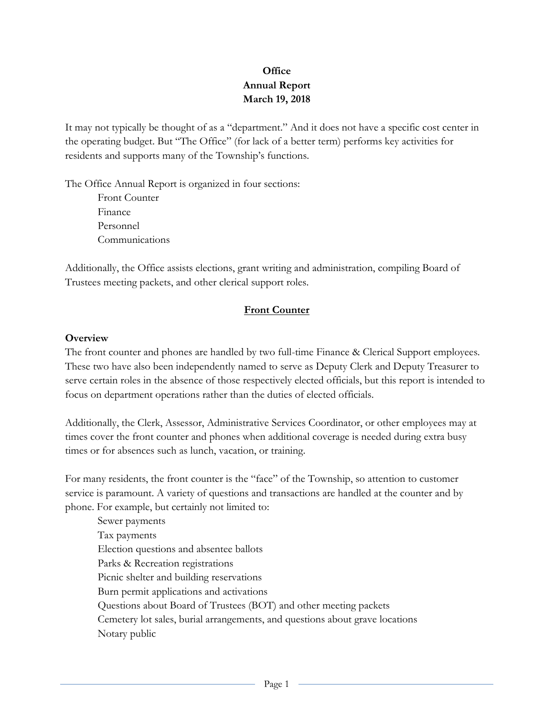# **Office Annual Report March 19, 2018**

It may not typically be thought of as a "department." And it does not have a specific cost center in the operating budget. But "The Office" (for lack of a better term) performs key activities for residents and supports many of the Township's functions.

The Office Annual Report is organized in four sections: Front Counter Finance Personnel

Communications

Additionally, the Office assists elections, grant writing and administration, compiling Board of Trustees meeting packets, and other clerical support roles.

## **Front Counter**

#### **Overview**

The front counter and phones are handled by two full-time Finance & Clerical Support employees. These two have also been independently named to serve as Deputy Clerk and Deputy Treasurer to serve certain roles in the absence of those respectively elected officials, but this report is intended to focus on department operations rather than the duties of elected officials.

Additionally, the Clerk, Assessor, Administrative Services Coordinator, or other employees may at times cover the front counter and phones when additional coverage is needed during extra busy times or for absences such as lunch, vacation, or training.

For many residents, the front counter is the "face" of the Township, so attention to customer service is paramount. A variety of questions and transactions are handled at the counter and by phone. For example, but certainly not limited to:

Sewer payments Tax payments Election questions and absentee ballots Parks & Recreation registrations Picnic shelter and building reservations Burn permit applications and activations Questions about Board of Trustees (BOT) and other meeting packets Cemetery lot sales, burial arrangements, and questions about grave locations Notary public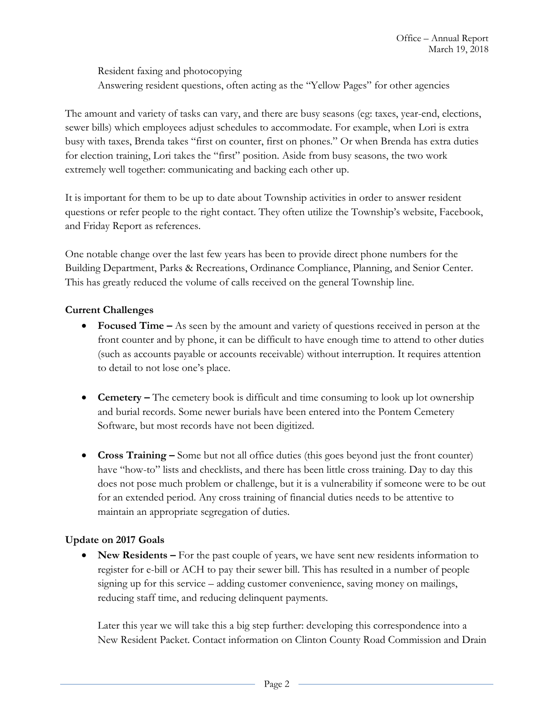Resident faxing and photocopying Answering resident questions, often acting as the "Yellow Pages" for other agencies

The amount and variety of tasks can vary, and there are busy seasons (eg: taxes, year-end, elections, sewer bills) which employees adjust schedules to accommodate. For example, when Lori is extra busy with taxes, Brenda takes "first on counter, first on phones." Or when Brenda has extra duties for election training, Lori takes the "first" position. Aside from busy seasons, the two work extremely well together: communicating and backing each other up.

It is important for them to be up to date about Township activities in order to answer resident questions or refer people to the right contact. They often utilize the Township's website, Facebook, and Friday Report as references.

One notable change over the last few years has been to provide direct phone numbers for the Building Department, Parks & Recreations, Ordinance Compliance, Planning, and Senior Center. This has greatly reduced the volume of calls received on the general Township line.

## **Current Challenges**

- **Focused Time –** As seen by the amount and variety of questions received in person at the front counter and by phone, it can be difficult to have enough time to attend to other duties (such as accounts payable or accounts receivable) without interruption. It requires attention to detail to not lose one's place.
- **Cemetery –** The cemetery book is difficult and time consuming to look up lot ownership and burial records. Some newer burials have been entered into the Pontem Cemetery Software, but most records have not been digitized.
- **Cross Training –** Some but not all office duties (this goes beyond just the front counter) have "how-to" lists and checklists, and there has been little cross training. Day to day this does not pose much problem or challenge, but it is a vulnerability if someone were to be out for an extended period. Any cross training of financial duties needs to be attentive to maintain an appropriate segregation of duties.

### **Update on 2017 Goals**

• New Residents – For the past couple of years, we have sent new residents information to register for e-bill or ACH to pay their sewer bill. This has resulted in a number of people signing up for this service – adding customer convenience, saving money on mailings, reducing staff time, and reducing delinquent payments.

Later this year we will take this a big step further: developing this correspondence into a New Resident Packet. Contact information on Clinton County Road Commission and Drain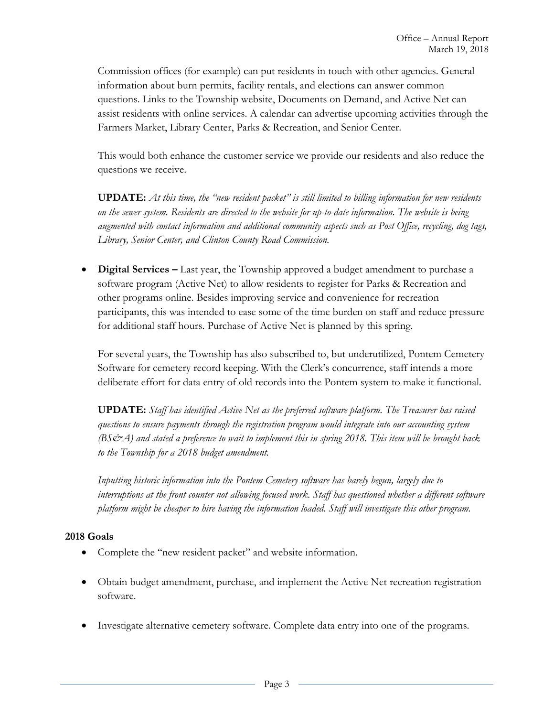Commission offices (for example) can put residents in touch with other agencies. General information about burn permits, facility rentals, and elections can answer common questions. Links to the Township website, Documents on Demand, and Active Net can assist residents with online services. A calendar can advertise upcoming activities through the Farmers Market, Library Center, Parks & Recreation, and Senior Center.

This would both enhance the customer service we provide our residents and also reduce the questions we receive.

**UPDATE:** *At this time, the "new resident packet" is still limited to billing information for new residents on the sewer system. Residents are directed to the website for up-to-date information. The website is being augmented with contact information and additional community aspects such as Post Office, recycling, dog tags, Library, Senior Center, and Clinton County Road Commission.*

 **Digital Services –** Last year, the Township approved a budget amendment to purchase a software program (Active Net) to allow residents to register for Parks & Recreation and other programs online. Besides improving service and convenience for recreation participants, this was intended to ease some of the time burden on staff and reduce pressure for additional staff hours. Purchase of Active Net is planned by this spring.

For several years, the Township has also subscribed to, but underutilized, Pontem Cemetery Software for cemetery record keeping. With the Clerk's concurrence, staff intends a more deliberate effort for data entry of old records into the Pontem system to make it functional.

**UPDATE:** *Staff has identified Active Net as the preferred software platform. The Treasurer has raised questions to ensure payments through the registration program would integrate into our accounting system (BS&A) and stated a preference to wait to implement this in spring 2018. This item will be brought back to the Township for a 2018 budget amendment.*

*Inputting historic information into the Pontem Cemetery software has barely begun, largely due to interruptions at the front counter not allowing focused work. Staff has questioned whether a different software platform might be cheaper to hire having the information loaded. Staff will investigate this other program.*

### **2018 Goals**

- Complete the "new resident packet" and website information.
- Obtain budget amendment, purchase, and implement the Active Net recreation registration software.
- Investigate alternative cemetery software. Complete data entry into one of the programs.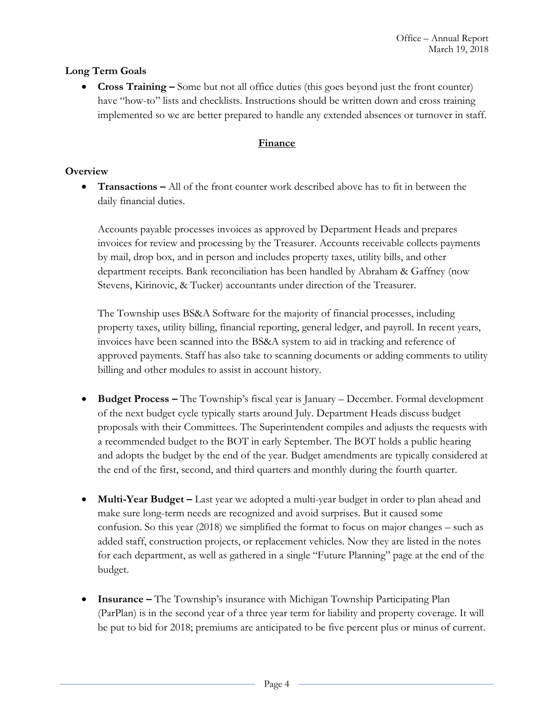### **Long Term Goals**

 **Cross Training –** Some but not all office duties (this goes beyond just the front counter) have "how-to" lists and checklists. Instructions should be written down and cross training implemented so we are better prepared to handle any extended absences or turnover in staff.

### **Finance**

### **Overview**

 **Transactions –** All of the front counter work described above has to fit in between the daily financial duties.

Accounts payable processes invoices as approved by Department Heads and prepares invoices for review and processing by the Treasurer. Accounts receivable collects payments by mail, drop box, and in person and includes property taxes, utility bills, and other department receipts. Bank reconciliation has been handled by Abraham & Gaffney (now Stevens, Kirinovic, & Tucker) accountants under direction of the Treasurer.

The Township uses BS&A Software for the majority of financial processes, including property taxes, utility billing, financial reporting, general ledger, and payroll. In recent years, invoices have been scanned into the BS&A system to aid in tracking and reference of approved payments. Staff has also take to scanning documents or adding comments to utility billing and other modules to assist in account history.

- **Budget Process –** The Township's fiscal year is January December. Formal development of the next budget cycle typically starts around July. Department Heads discuss budget proposals with their Committees. The Superintendent compiles and adjusts the requests with a recommended budget to the BOT in early September. The BOT holds a public hearing and adopts the budget by the end of the year. Budget amendments are typically considered at the end of the first, second, and third quarters and monthly during the fourth quarter.
- **Multi-Year Budget** Last year we adopted a multi-year budget in order to plan ahead and make sure long-term needs are recognized and avoid surprises. But it caused some confusion. So this year (2018) we simplified the format to focus on major changes – such as added staff, construction projects, or replacement vehicles. Now they are listed in the notes for each department, as well as gathered in a single "Future Planning" page at the end of the budget.
- **Insurance –** The Township's insurance with Michigan Township Participating Plan (ParPlan) is in the second year of a three year term for liability and property coverage. It will be put to bid for 2018; premiums are anticipated to be five percent plus or minus of current.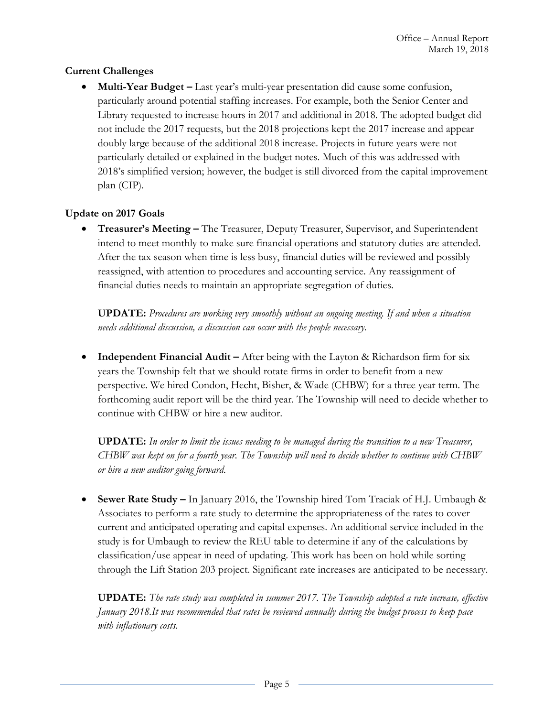### **Current Challenges**

 **Multi-Year Budget –** Last year's multi-year presentation did cause some confusion, particularly around potential staffing increases. For example, both the Senior Center and Library requested to increase hours in 2017 and additional in 2018. The adopted budget did not include the 2017 requests, but the 2018 projections kept the 2017 increase and appear doubly large because of the additional 2018 increase. Projects in future years were not particularly detailed or explained in the budget notes. Much of this was addressed with 2018's simplified version; however, the budget is still divorced from the capital improvement plan (CIP).

## **Update on 2017 Goals**

 **Treasurer's Meeting –** The Treasurer, Deputy Treasurer, Supervisor, and Superintendent intend to meet monthly to make sure financial operations and statutory duties are attended. After the tax season when time is less busy, financial duties will be reviewed and possibly reassigned, with attention to procedures and accounting service. Any reassignment of financial duties needs to maintain an appropriate segregation of duties.

**UPDATE:** *Procedures are working very smoothly without an ongoing meeting. If and when a situation needs additional discussion, a discussion can occur with the people necessary.*

**• Independent Financial Audit** – After being with the Layton & Richardson firm for six years the Township felt that we should rotate firms in order to benefit from a new perspective. We hired Condon, Hecht, Bisher, & Wade (CHBW) for a three year term. The forthcoming audit report will be the third year. The Township will need to decide whether to continue with CHBW or hire a new auditor.

**UPDATE:** *In order to limit the issues needing to be managed during the transition to a new Treasurer, CHBW was kept on for a fourth year. The Township will need to decide whether to continue with CHBW or hire a new auditor going forward.*

 **Sewer Rate Study –** In January 2016, the Township hired Tom Traciak of H.J. Umbaugh & Associates to perform a rate study to determine the appropriateness of the rates to cover current and anticipated operating and capital expenses. An additional service included in the study is for Umbaugh to review the REU table to determine if any of the calculations by classification/use appear in need of updating. This work has been on hold while sorting through the Lift Station 203 project. Significant rate increases are anticipated to be necessary.

**UPDATE:** *The rate study was completed in summer 2017. The Township adopted a rate increase, effective January 2018.It was recommended that rates be reviewed annually during the budget process to keep pace with inflationary costs.*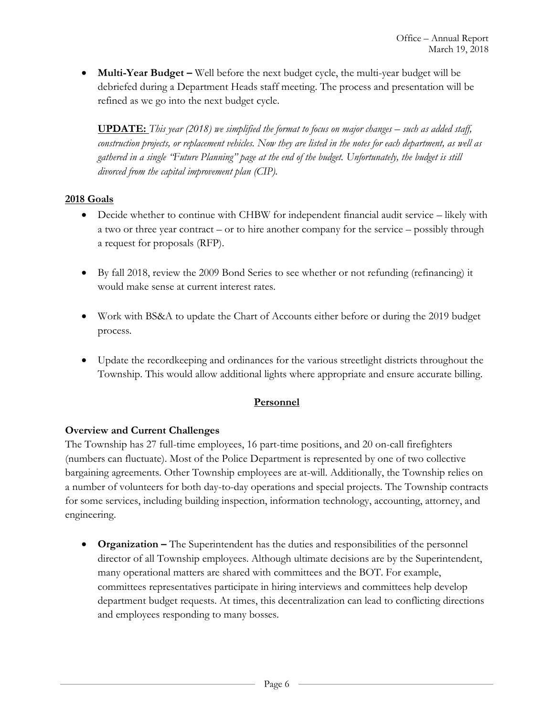**Multi-Year Budget** – Well before the next budget cycle, the multi-year budget will be debriefed during a Department Heads staff meeting. The process and presentation will be refined as we go into the next budget cycle.

**UPDATE:** *This year (2018) we simplified the format to focus on major changes – such as added staff, construction projects, or replacement vehicles. Now they are listed in the notes for each department, as well as gathered in a single "Future Planning" page at the end of the budget. Unfortunately, the budget is still divorced from the capital improvement plan (CIP).*

## **2018 Goals**

- Decide whether to continue with CHBW for independent financial audit service likely with a two or three year contract – or to hire another company for the service – possibly through a request for proposals (RFP).
- By fall 2018, review the 2009 Bond Series to see whether or not refunding (refinancing) it would make sense at current interest rates.
- Work with BS&A to update the Chart of Accounts either before or during the 2019 budget process.
- Update the recordkeeping and ordinances for the various streetlight districts throughout the Township. This would allow additional lights where appropriate and ensure accurate billing.

### **Personnel**

### **Overview and Current Challenges**

The Township has 27 full-time employees, 16 part-time positions, and 20 on-call firefighters (numbers can fluctuate). Most of the Police Department is represented by one of two collective bargaining agreements. Other Township employees are at-will. Additionally, the Township relies on a number of volunteers for both day-to-day operations and special projects. The Township contracts for some services, including building inspection, information technology, accounting, attorney, and engineering.

**• Organization** – The Superintendent has the duties and responsibilities of the personnel director of all Township employees. Although ultimate decisions are by the Superintendent, many operational matters are shared with committees and the BOT. For example, committees representatives participate in hiring interviews and committees help develop department budget requests. At times, this decentralization can lead to conflicting directions and employees responding to many bosses.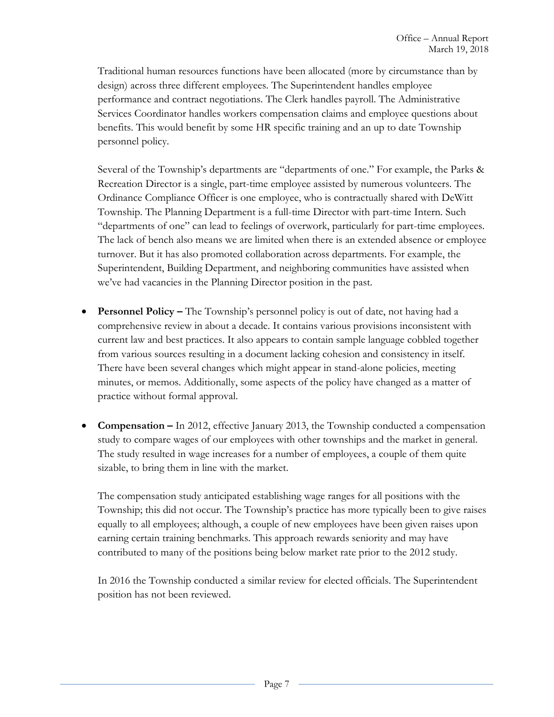Traditional human resources functions have been allocated (more by circumstance than by design) across three different employees. The Superintendent handles employee performance and contract negotiations. The Clerk handles payroll. The Administrative Services Coordinator handles workers compensation claims and employee questions about benefits. This would benefit by some HR specific training and an up to date Township personnel policy.

Several of the Township's departments are "departments of one." For example, the Parks & Recreation Director is a single, part-time employee assisted by numerous volunteers. The Ordinance Compliance Officer is one employee, who is contractually shared with DeWitt Township. The Planning Department is a full-time Director with part-time Intern. Such "departments of one" can lead to feelings of overwork, particularly for part-time employees. The lack of bench also means we are limited when there is an extended absence or employee turnover. But it has also promoted collaboration across departments. For example, the Superintendent, Building Department, and neighboring communities have assisted when we've had vacancies in the Planning Director position in the past.

- **Personnel Policy –** The Township's personnel policy is out of date, not having had a comprehensive review in about a decade. It contains various provisions inconsistent with current law and best practices. It also appears to contain sample language cobbled together from various sources resulting in a document lacking cohesion and consistency in itself. There have been several changes which might appear in stand-alone policies, meeting minutes, or memos. Additionally, some aspects of the policy have changed as a matter of practice without formal approval.
- **Compensation –** In 2012, effective January 2013, the Township conducted a compensation study to compare wages of our employees with other townships and the market in general. The study resulted in wage increases for a number of employees, a couple of them quite sizable, to bring them in line with the market.

The compensation study anticipated establishing wage ranges for all positions with the Township; this did not occur. The Township's practice has more typically been to give raises equally to all employees; although, a couple of new employees have been given raises upon earning certain training benchmarks. This approach rewards seniority and may have contributed to many of the positions being below market rate prior to the 2012 study.

In 2016 the Township conducted a similar review for elected officials. The Superintendent position has not been reviewed.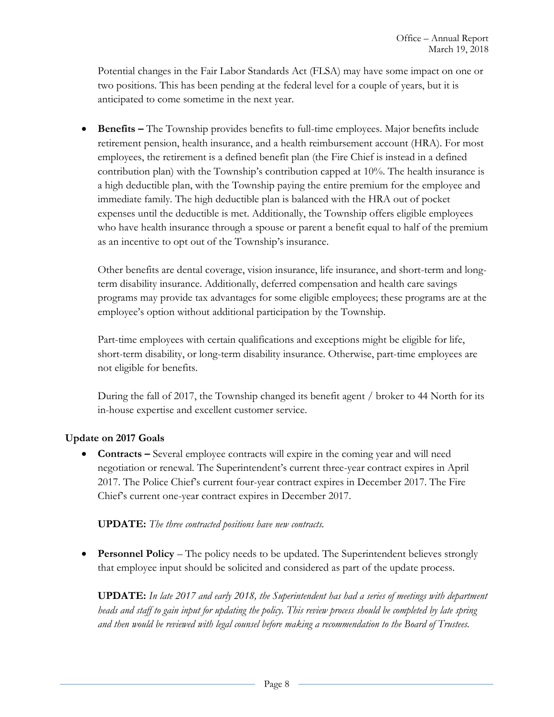Potential changes in the Fair Labor Standards Act (FLSA) may have some impact on one or two positions. This has been pending at the federal level for a couple of years, but it is anticipated to come sometime in the next year.

**• Benefits –** The Township provides benefits to full-time employees. Major benefits include retirement pension, health insurance, and a health reimbursement account (HRA). For most employees, the retirement is a defined benefit plan (the Fire Chief is instead in a defined contribution plan) with the Township's contribution capped at 10%. The health insurance is a high deductible plan, with the Township paying the entire premium for the employee and immediate family. The high deductible plan is balanced with the HRA out of pocket expenses until the deductible is met. Additionally, the Township offers eligible employees who have health insurance through a spouse or parent a benefit equal to half of the premium as an incentive to opt out of the Township's insurance.

Other benefits are dental coverage, vision insurance, life insurance, and short-term and longterm disability insurance. Additionally, deferred compensation and health care savings programs may provide tax advantages for some eligible employees; these programs are at the employee's option without additional participation by the Township.

Part-time employees with certain qualifications and exceptions might be eligible for life, short-term disability, or long-term disability insurance. Otherwise, part-time employees are not eligible for benefits.

During the fall of 2017, the Township changed its benefit agent / broker to 44 North for its in-house expertise and excellent customer service.

### **Update on 2017 Goals**

• **Contracts –** Several employee contracts will expire in the coming year and will need negotiation or renewal. The Superintendent's current three-year contract expires in April 2017. The Police Chief's current four-year contract expires in December 2017. The Fire Chief's current one-year contract expires in December 2017.

### **UPDATE:** *The three contracted positions have new contracts.*

**Personnel Policy** – The policy needs to be updated. The Superintendent believes strongly that employee input should be solicited and considered as part of the update process.

**UPDATE:** *In late 2017 and early 2018, the Superintendent has had a series of meetings with department heads and staff to gain input for updating the policy. This review process should be completed by late spring and then would be reviewed with legal counsel before making a recommendation to the Board of Trustees.*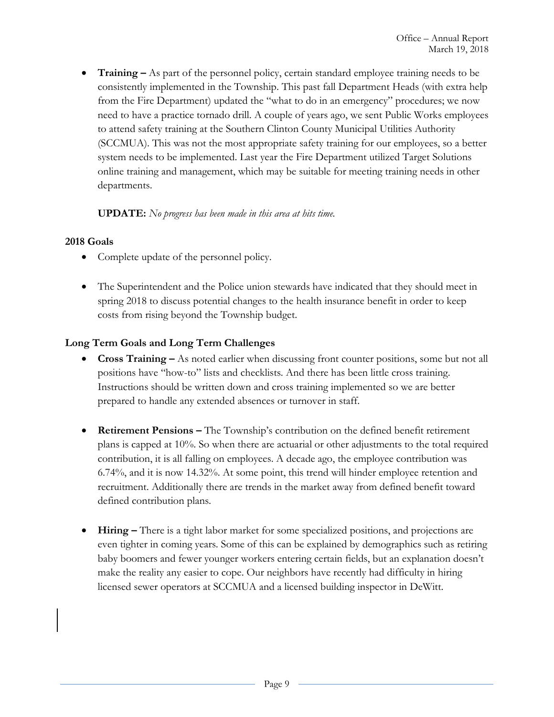**Training –** As part of the personnel policy, certain standard employee training needs to be consistently implemented in the Township. This past fall Department Heads (with extra help from the Fire Department) updated the "what to do in an emergency" procedures; we now need to have a practice tornado drill. A couple of years ago, we sent Public Works employees to attend safety training at the Southern Clinton County Municipal Utilities Authority (SCCMUA). This was not the most appropriate safety training for our employees, so a better system needs to be implemented. Last year the Fire Department utilized Target Solutions online training and management, which may be suitable for meeting training needs in other departments.

### **UPDATE:** *No progress has been made in this area at hits time.*

#### **2018 Goals**

- Complete update of the personnel policy.
- The Superintendent and the Police union stewards have indicated that they should meet in spring 2018 to discuss potential changes to the health insurance benefit in order to keep costs from rising beyond the Township budget.

### **Long Term Goals and Long Term Challenges**

- **Cross Training –** As noted earlier when discussing front counter positions, some but not all positions have "how-to" lists and checklists. And there has been little cross training. Instructions should be written down and cross training implemented so we are better prepared to handle any extended absences or turnover in staff.
- **Retirement Pensions –** The Township's contribution on the defined benefit retirement plans is capped at 10%. So when there are actuarial or other adjustments to the total required contribution, it is all falling on employees. A decade ago, the employee contribution was 6.74%, and it is now 14.32%. At some point, this trend will hinder employee retention and recruitment. Additionally there are trends in the market away from defined benefit toward defined contribution plans.
- **Hiring –** There is a tight labor market for some specialized positions, and projections are even tighter in coming years. Some of this can be explained by demographics such as retiring baby boomers and fewer younger workers entering certain fields, but an explanation doesn't make the reality any easier to cope. Our neighbors have recently had difficulty in hiring licensed sewer operators at SCCMUA and a licensed building inspector in DeWitt.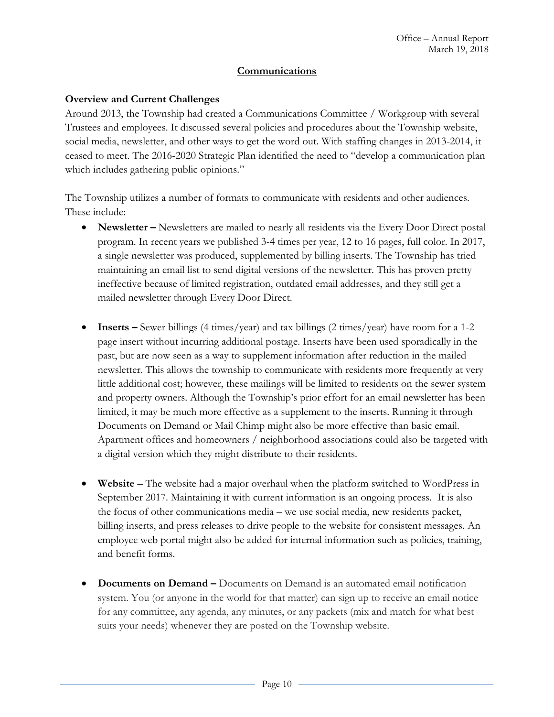#### **Communications**

#### **Overview and Current Challenges**

Around 2013, the Township had created a Communications Committee / Workgroup with several Trustees and employees. It discussed several policies and procedures about the Township website, social media, newsletter, and other ways to get the word out. With staffing changes in 2013-2014, it ceased to meet. The 2016-2020 Strategic Plan identified the need to "develop a communication plan which includes gathering public opinions."

The Township utilizes a number of formats to communicate with residents and other audiences. These include:

- **•** Newsletter Newsletters are mailed to nearly all residents via the Every Door Direct postal program. In recent years we published 3-4 times per year, 12 to 16 pages, full color. In 2017, a single newsletter was produced, supplemented by billing inserts. The Township has tried maintaining an email list to send digital versions of the newsletter. This has proven pretty ineffective because of limited registration, outdated email addresses, and they still get a mailed newsletter through Every Door Direct.
- **Inserts** Sewer billings (4 times/year) and tax billings (2 times/year) have room for a 1-2 page insert without incurring additional postage. Inserts have been used sporadically in the past, but are now seen as a way to supplement information after reduction in the mailed newsletter. This allows the township to communicate with residents more frequently at very little additional cost; however, these mailings will be limited to residents on the sewer system and property owners. Although the Township's prior effort for an email newsletter has been limited, it may be much more effective as a supplement to the inserts. Running it through Documents on Demand or Mail Chimp might also be more effective than basic email. Apartment offices and homeowners / neighborhood associations could also be targeted with a digital version which they might distribute to their residents.
- **Website** The website had a major overhaul when the platform switched to WordPress in September 2017. Maintaining it with current information is an ongoing process. It is also the focus of other communications media – we use social media, new residents packet, billing inserts, and press releases to drive people to the website for consistent messages. An employee web portal might also be added for internal information such as policies, training, and benefit forms.
- **Documents on Demand –** Documents on Demand is an automated email notification system. You (or anyone in the world for that matter) can sign up to receive an email notice for any committee, any agenda, any minutes, or any packets (mix and match for what best suits your needs) whenever they are posted on the Township website.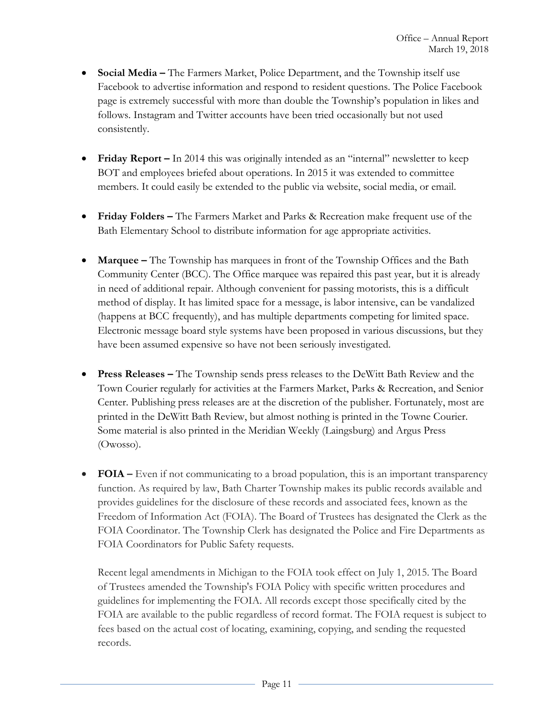- **Social Media –** The Farmers Market, Police Department, and the Township itself use Facebook to advertise information and respond to resident questions. The Police Facebook page is extremely successful with more than double the Township's population in likes and follows. Instagram and Twitter accounts have been tried occasionally but not used consistently.
- **Friday Report –** In 2014 this was originally intended as an "internal" newsletter to keep BOT and employees briefed about operations. In 2015 it was extended to committee members. It could easily be extended to the public via website, social media, or email.
- **Friday Folders –** The Farmers Market and Parks & Recreation make frequent use of the Bath Elementary School to distribute information for age appropriate activities.
- **Marquee –** The Township has marquees in front of the Township Offices and the Bath Community Center (BCC). The Office marquee was repaired this past year, but it is already in need of additional repair. Although convenient for passing motorists, this is a difficult method of display. It has limited space for a message, is labor intensive, can be vandalized (happens at BCC frequently), and has multiple departments competing for limited space. Electronic message board style systems have been proposed in various discussions, but they have been assumed expensive so have not been seriously investigated.
- **Press Releases –** The Township sends press releases to the DeWitt Bath Review and the Town Courier regularly for activities at the Farmers Market, Parks & Recreation, and Senior Center. Publishing press releases are at the discretion of the publisher. Fortunately, most are printed in the DeWitt Bath Review, but almost nothing is printed in the Towne Courier. Some material is also printed in the Meridian Weekly (Laingsburg) and Argus Press (Owosso).
- **FOIA** Even if not communicating to a broad population, this is an important transparency function. As required by law, Bath Charter Township makes its public records available and provides guidelines for the disclosure of these records and associated fees, known as the Freedom of Information Act (FOIA). The Board of Trustees has designated the Clerk as the FOIA Coordinator. The Township Clerk has designated the Police and Fire Departments as FOIA Coordinators for Public Safety requests.

Recent legal amendments in Michigan to the FOIA took effect on July 1, 2015. The Board of Trustees amended the Township's FOIA Policy with specific written procedures and guidelines for implementing the FOIA. All records except those specifically cited by the FOIA are available to the public regardless of record format. The FOIA request is subject to fees based on the actual cost of locating, examining, copying, and sending the requested records.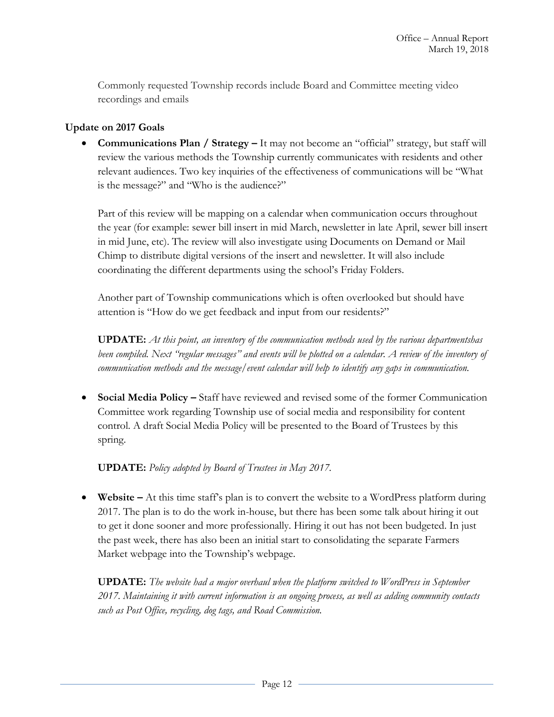Commonly requested Township records include Board and Committee meeting video recordings and emails

### **Update on 2017 Goals**

**Communications Plan / Strategy –** It may not become an "official" strategy, but staff will review the various methods the Township currently communicates with residents and other relevant audiences. Two key inquiries of the effectiveness of communications will be "What is the message?" and "Who is the audience?"

Part of this review will be mapping on a calendar when communication occurs throughout the year (for example: sewer bill insert in mid March, newsletter in late April, sewer bill insert in mid June, etc). The review will also investigate using Documents on Demand or Mail Chimp to distribute digital versions of the insert and newsletter. It will also include coordinating the different departments using the school's Friday Folders.

Another part of Township communications which is often overlooked but should have attention is "How do we get feedback and input from our residents?"

**UPDATE:** *At this point, an inventory of the communication methods used by the various departmentshas been compiled. Next "regular messages" and events will be plotted on a calendar. A review of the inventory of communication methods and the message/event calendar will help to identify any gaps in communication.*

**•** Social Media Policy – Staff have reviewed and revised some of the former Communication Committee work regarding Township use of social media and responsibility for content control. A draft Social Media Policy will be presented to the Board of Trustees by this spring.

**UPDATE:** *Policy adopted by Board of Trustees in May 2017.*

 **Website –** At this time staff's plan is to convert the website to a WordPress platform during 2017. The plan is to do the work in-house, but there has been some talk about hiring it out to get it done sooner and more professionally. Hiring it out has not been budgeted. In just the past week, there has also been an initial start to consolidating the separate Farmers Market webpage into the Township's webpage.

**UPDATE:** *The website had a major overhaul when the platform switched to WordPress in September 2017. Maintaining it with current information is an ongoing process, as well as adding community contacts such as Post Office, recycling, dog tags, and Road Commission.*